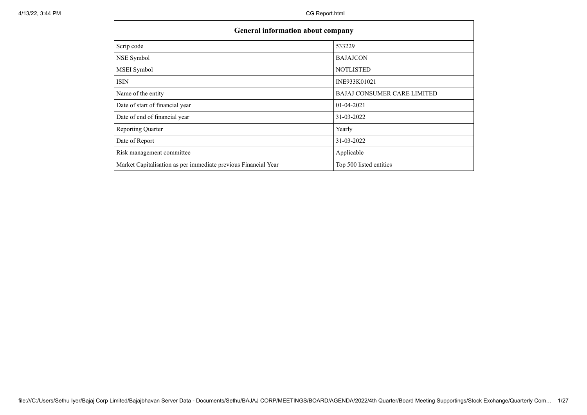| <b>General information about company</b>                       |                                    |  |  |  |  |  |
|----------------------------------------------------------------|------------------------------------|--|--|--|--|--|
| Scrip code                                                     | 533229                             |  |  |  |  |  |
| NSE Symbol                                                     | <b>BAJAJCON</b>                    |  |  |  |  |  |
| MSEI Symbol                                                    | <b>NOTLISTED</b>                   |  |  |  |  |  |
| <b>ISIN</b>                                                    | INE933K01021                       |  |  |  |  |  |
| Name of the entity                                             | <b>BAJAJ CONSUMER CARE LIMITED</b> |  |  |  |  |  |
| Date of start of financial year                                | 01-04-2021                         |  |  |  |  |  |
| Date of end of financial year                                  | 31-03-2022                         |  |  |  |  |  |
| <b>Reporting Quarter</b>                                       | Yearly                             |  |  |  |  |  |
| Date of Report                                                 | 31-03-2022                         |  |  |  |  |  |
| Risk management committee                                      | Applicable                         |  |  |  |  |  |
| Market Capitalisation as per immediate previous Financial Year | Top 500 listed entities            |  |  |  |  |  |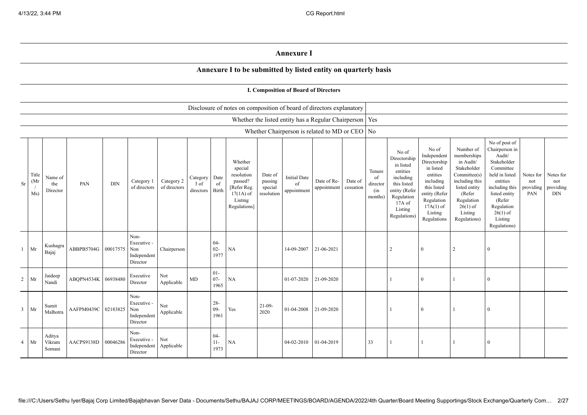## **Annexure I**

## **Annexure I to be submitted by listed entity on quarterly basis**

|                | I. Composition of Board of Directors |                            |                     |            |                                                           |                            |                                 |                          |                                                                                                      |                                             |                                                           |                            |                      |                                            |                                                                                                                                                  |                                                                                                                                                                   |                                                                                                                                                                          |                                                                                                                                                                                                         |                                      |                                             |
|----------------|--------------------------------------|----------------------------|---------------------|------------|-----------------------------------------------------------|----------------------------|---------------------------------|--------------------------|------------------------------------------------------------------------------------------------------|---------------------------------------------|-----------------------------------------------------------|----------------------------|----------------------|--------------------------------------------|--------------------------------------------------------------------------------------------------------------------------------------------------|-------------------------------------------------------------------------------------------------------------------------------------------------------------------|--------------------------------------------------------------------------------------------------------------------------------------------------------------------------|---------------------------------------------------------------------------------------------------------------------------------------------------------------------------------------------------------|--------------------------------------|---------------------------------------------|
|                |                                      |                            |                     |            |                                                           |                            |                                 |                          | Disclosure of notes on composition of board of directors explanatory                                 |                                             |                                                           |                            |                      |                                            |                                                                                                                                                  |                                                                                                                                                                   |                                                                                                                                                                          |                                                                                                                                                                                                         |                                      |                                             |
|                |                                      |                            |                     |            |                                                           |                            |                                 |                          |                                                                                                      |                                             | Whether the listed entity has a Regular Chairperson   Yes |                            |                      |                                            |                                                                                                                                                  |                                                                                                                                                                   |                                                                                                                                                                          |                                                                                                                                                                                                         |                                      |                                             |
|                |                                      |                            |                     |            |                                                           |                            |                                 |                          |                                                                                                      |                                             | Whether Chairperson is related to MD or CEO   No          |                            |                      |                                            |                                                                                                                                                  |                                                                                                                                                                   |                                                                                                                                                                          |                                                                                                                                                                                                         |                                      |                                             |
| Sr             | Title<br>(Mr<br>Ms)                  | Name of<br>the<br>Director | PAN                 | <b>DIN</b> | Category 1<br>of directors                                | Category 2<br>of directors | Category<br>$3$ of<br>directors | Date<br>of<br>Birth      | Whether<br>special<br>resolution<br>passed?<br>[Refer Reg.<br>$17(1A)$ of<br>Listing<br>Regulations] | Date of<br>passing<br>special<br>resolution | <b>Initial Date</b><br>of<br>appointment                  | Date of Re-<br>appointment | Date of<br>cessation | Tenure<br>of<br>director<br>(in<br>months) | No of<br>Directorship<br>in listed<br>entities<br>including<br>this listed<br>entity (Refer<br>Regulation<br>$17A$ of<br>Listing<br>Regulations) | No of<br>Independent<br>Directorship<br>in listed<br>entities<br>including<br>this listed<br>entity (Refer<br>Regulation<br>$17A(1)$ of<br>Listing<br>Regulations | Number of<br>memberships<br>in Audit/<br>Stakeholder<br>Committee(s)<br>including this<br>listed entity<br>(Refer<br>Regulation<br>$26(1)$ of<br>Listing<br>Regulations) | No of post of<br>Chairperson in<br>Audit/<br>Stakeholder<br>Committee<br>held in listed<br>entities<br>including this<br>listed entity<br>(Refer<br>Regulation<br>$26(1)$ of<br>Listing<br>Regulations) | Notes for<br>not<br>providing<br>PAN | Notes for<br>not<br>providing<br>$\rm{DIN}$ |
| 1              | Mr                                   | Kushagra<br>Bajaj          | ABBPB5704G 00017575 |            | Non-<br>Executive -<br>Non<br>Independent<br>Director     | Chairperson                |                                 | $04 -$<br>$02 -$<br>1977 | NA                                                                                                   |                                             | 14-09-2007                                                | 21-06-2021                 |                      |                                            | $\overline{2}$                                                                                                                                   | $\Omega$                                                                                                                                                          | $\overline{2}$                                                                                                                                                           | $\Omega$                                                                                                                                                                                                |                                      |                                             |
| $\overline{2}$ | Mr                                   | Jaideep<br>Nandi           | ABOPN4534K          | 06938480   | Executive<br>Director                                     | Not<br>Applicable          | $\rm MD$                        | $01 -$<br>$07 -$<br>1965 | NA                                                                                                   |                                             | 01-07-2020                                                | 21-09-2020                 |                      |                                            |                                                                                                                                                  | $\Omega$                                                                                                                                                          |                                                                                                                                                                          | $\Omega$                                                                                                                                                                                                |                                      |                                             |
| $\mathfrak{Z}$ | Mr                                   | Sumit<br>Malhotra          | AAFPM0439C 02183825 |            | Non-<br>Executive -<br>Non<br>Independent<br>Director     | Not<br>Applicable          |                                 | $28 -$<br>$09 -$<br>1961 | Yes                                                                                                  | $21-09-$<br>2020                            | 01-04-2008 21-09-2020                                     |                            |                      |                                            |                                                                                                                                                  | $\Omega$                                                                                                                                                          |                                                                                                                                                                          | $\Omega$                                                                                                                                                                                                |                                      |                                             |
| $\overline{4}$ | Mr                                   | Aditya<br>Vikram<br>Somani | AACPS9138D          | 00046286   | Non-<br>Executive -<br>Independent Applicable<br>Director | Not                        |                                 | $04 -$<br>$11 -$<br>1973 | NA                                                                                                   |                                             | 04-02-2010                                                | 01-04-2019                 |                      | 33                                         |                                                                                                                                                  |                                                                                                                                                                   |                                                                                                                                                                          | $\Omega$                                                                                                                                                                                                |                                      |                                             |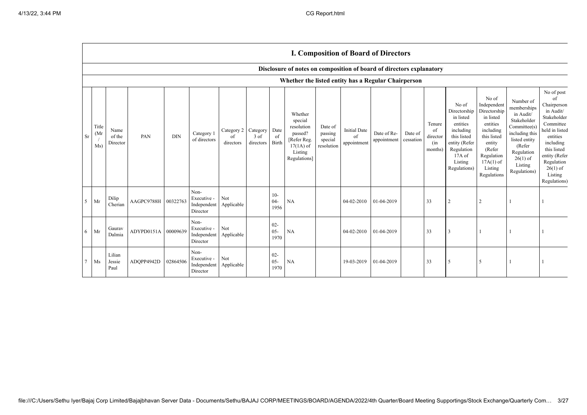|                | <b>I. Composition of Board of Directors</b> |                            |            |            |                                                           |                                        |                   |                          |                                                                                                      |                                             |                                          |                            |                      |                                            |                                                                                                                                                |                                                                                                                                                                      |                                                                                                                                                                          |                                                                                                                                                                                                            |
|----------------|---------------------------------------------|----------------------------|------------|------------|-----------------------------------------------------------|----------------------------------------|-------------------|--------------------------|------------------------------------------------------------------------------------------------------|---------------------------------------------|------------------------------------------|----------------------------|----------------------|--------------------------------------------|------------------------------------------------------------------------------------------------------------------------------------------------|----------------------------------------------------------------------------------------------------------------------------------------------------------------------|--------------------------------------------------------------------------------------------------------------------------------------------------------------------------|------------------------------------------------------------------------------------------------------------------------------------------------------------------------------------------------------------|
|                |                                             |                            |            |            |                                                           |                                        |                   |                          | Disclosure of notes on composition of board of directors explanatory                                 |                                             |                                          |                            |                      |                                            |                                                                                                                                                |                                                                                                                                                                      |                                                                                                                                                                          |                                                                                                                                                                                                            |
|                |                                             |                            |            |            |                                                           |                                        |                   |                          | Whether the listed entity has a Regular Chairperson                                                  |                                             |                                          |                            |                      |                                            |                                                                                                                                                |                                                                                                                                                                      |                                                                                                                                                                          |                                                                                                                                                                                                            |
| Sr             | Title<br>(Mr)<br>Ms)                        | Name<br>of the<br>Director | PAN        | <b>DIN</b> | Category 1<br>of directors                                | Category 2 Category<br>of<br>directors | 3 of<br>directors | Date<br>of<br>Birth      | Whether<br>special<br>resolution<br>passed?<br>[Refer Reg.<br>$17(1A)$ of<br>Listing<br>Regulations] | Date of<br>passing<br>special<br>resolution | <b>Initial Date</b><br>of<br>appointment | Date of Re-<br>appointment | Date of<br>cessation | Tenure<br>of<br>director<br>(in<br>months) | No of<br>Directorship<br>in listed<br>entities<br>including<br>this listed<br>entity (Refer<br>Regulation<br>17A of<br>Listing<br>Regulations) | No of<br>Independent<br>Directorship<br>in listed<br>entities<br>including<br>this listed<br>entity<br>(Refer<br>Regulation<br>$17A(1)$ of<br>Listing<br>Regulations | Number of<br>memberships<br>in Audit/<br>Stakeholder<br>Committee(s)<br>including this<br>listed entity<br>(Refer<br>Regulation<br>$26(1)$ of<br>Listing<br>Regulations) | No of post<br>of<br>Chairperson<br>in Audit/<br>Stakeholder<br>Committee<br>held in listed<br>entities<br>including<br>this listed<br>entity (Refer<br>Regulation<br>$26(1)$ of<br>Listing<br>Regulations) |
| 5 <sup>1</sup> | Mr                                          | Dilip<br>Cherian           | AAGPC9788H | 00322763   | Non-<br>Executive -<br>Independent Applicable<br>Director | Not                                    |                   | $10-$<br>$04 -$<br>1956  | <b>NA</b>                                                                                            |                                             | 04-02-2010                               | 01-04-2019                 |                      | 33                                         | $\overline{2}$                                                                                                                                 | $\overline{2}$                                                                                                                                                       |                                                                                                                                                                          |                                                                                                                                                                                                            |
| 6              | Mr                                          | Gauray<br>Dalmia           | ADYPD0151A | 00009639   | Non-<br>Executive -<br>Independent Applicable<br>Director | Not                                    |                   | $02 -$<br>$05 -$<br>1970 | <b>NA</b>                                                                                            |                                             | 04-02-2010                               | 01-04-2019                 |                      | 33                                         | 3                                                                                                                                              |                                                                                                                                                                      |                                                                                                                                                                          |                                                                                                                                                                                                            |
|                | Ms                                          | Lilian<br>Jessie<br>Paul   | ADOPP4942D | 02864506   | Non-<br>Executive -<br>Independent<br>Director            | Not<br>Applicable                      |                   | $02 -$<br>$05 -$<br>1970 | <b>NA</b>                                                                                            |                                             | 19-03-2019                               | 01-04-2019                 |                      | 33                                         | 5                                                                                                                                              | 5                                                                                                                                                                    |                                                                                                                                                                          |                                                                                                                                                                                                            |

 $\Gamma$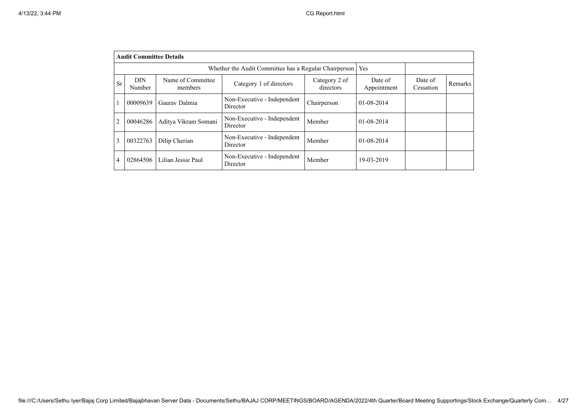|                | <b>Audit Committee Details</b> |                              |                                         |                            |                        |                      |                |  |  |
|----------------|--------------------------------|------------------------------|-----------------------------------------|----------------------------|------------------------|----------------------|----------------|--|--|
|                |                                |                              |                                         |                            |                        |                      |                |  |  |
| Sr             | <b>DIN</b><br>Number           | Name of Committee<br>members | Category 1 of directors                 | Category 2 of<br>directors | Date of<br>Appointment | Date of<br>Cessation | <b>Remarks</b> |  |  |
|                | 00009639                       | Gauray Dalmia                | Non-Executive - Independent<br>Director | Chairperson                | $01 - 08 - 2014$       |                      |                |  |  |
| $\overline{2}$ | 00046286                       | Aditya Vikram Somani         | Non-Executive - Independent<br>Director | Member                     | $01 - 08 - 2014$       |                      |                |  |  |
| 3              | 00322763                       | Dilip Cherian                | Non-Executive - Independent<br>Director | Member                     | $01 - 08 - 2014$       |                      |                |  |  |
| 4              | 02864506                       | Lilian Jessie Paul           | Non-Executive - Independent<br>Director | Member                     | 19-03-2019             |                      |                |  |  |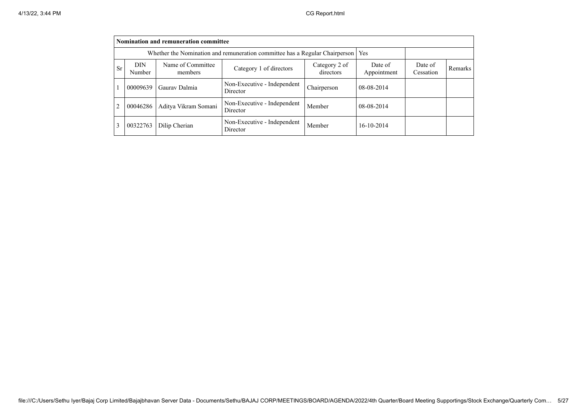|                | Nomination and remuneration committee                                             |                              |                                         |                            |                        |                      |         |  |  |
|----------------|-----------------------------------------------------------------------------------|------------------------------|-----------------------------------------|----------------------------|------------------------|----------------------|---------|--|--|
|                | Whether the Nomination and remuneration committee has a Regular Chairperson   Yes |                              |                                         |                            |                        |                      |         |  |  |
| <b>Sr</b>      | <b>DIN</b><br>Number                                                              | Name of Committee<br>members | Category 1 of directors                 | Category 2 of<br>directors | Date of<br>Appointment | Date of<br>Cessation | Remarks |  |  |
|                | 00009639                                                                          | Gauray Dalmia                | Non-Executive - Independent<br>Director | Chairperson                | 08-08-2014             |                      |         |  |  |
| $\overline{2}$ | 00046286                                                                          | Aditya Vikram Somani         | Non-Executive - Independent<br>Director | Member                     | 08-08-2014             |                      |         |  |  |
| 3              | 00322763                                                                          | Dilip Cherian                | Non-Executive - Independent<br>Director | Member                     | 16-10-2014             |                      |         |  |  |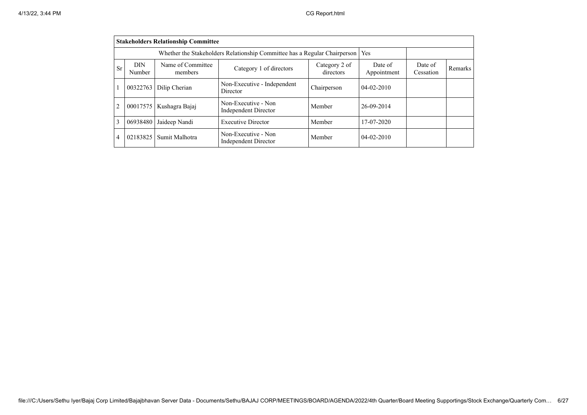|                | <b>Stakeholders Relationship Committee</b>                                                                    |                |                                             |             |                        |                      |         |  |  |  |
|----------------|---------------------------------------------------------------------------------------------------------------|----------------|---------------------------------------------|-------------|------------------------|----------------------|---------|--|--|--|
|                | Whether the Stakeholders Relationship Committee has a Regular Chairperson  <br>Yes                            |                |                                             |             |                        |                      |         |  |  |  |
| <b>Sr</b>      | Name of Committee<br><b>DIN</b><br>Category 2 of<br>Category 1 of directors<br>directors<br>Number<br>members |                |                                             |             | Date of<br>Appointment | Date of<br>Cessation | Remarks |  |  |  |
|                | 00322763                                                                                                      | Dilip Cherian  | Non-Executive - Independent<br>Director     | Chairperson | $04 - 02 - 2010$       |                      |         |  |  |  |
| $\overline{2}$ | 00017575                                                                                                      | Kushagra Bajaj | Non-Executive - Non<br>Independent Director | Member      | 26-09-2014             |                      |         |  |  |  |
| 3              | 06938480                                                                                                      | Jaideep Nandi  | <b>Executive Director</b>                   | Member      | 17-07-2020             |                      |         |  |  |  |
| $\overline{4}$ | 02183825                                                                                                      | Sumit Malhotra | Non-Executive - Non<br>Independent Director | Member      | $04 - 02 - 2010$       |                      |         |  |  |  |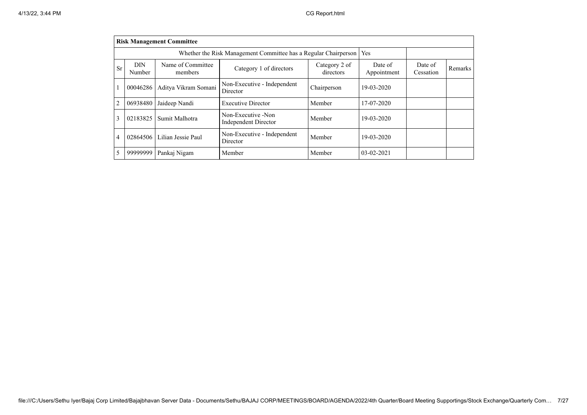|                | <b>Risk Management Committee</b> |                                                                 |                                            |                            |                        |                      |                |  |  |
|----------------|----------------------------------|-----------------------------------------------------------------|--------------------------------------------|----------------------------|------------------------|----------------------|----------------|--|--|
|                |                                  | Whether the Risk Management Committee has a Regular Chairperson | Yes                                        |                            |                        |                      |                |  |  |
| Sr             | <b>DIN</b><br>Number             | Name of Committee<br>members                                    | Category 1 of directors                    | Category 2 of<br>directors | Date of<br>Appointment | Date of<br>Cessation | <b>Remarks</b> |  |  |
|                | 00046286                         | Aditya Vikram Somani                                            | Non-Executive - Independent<br>Director    | Chairperson                | 19-03-2020             |                      |                |  |  |
| $\overline{2}$ | 06938480                         | Jaideep Nandi                                                   | <b>Executive Director</b>                  | Member                     | 17-07-2020             |                      |                |  |  |
| 3              | 02183825                         | Sumit Malhotra                                                  | Non-Executive -Non<br>Independent Director | Member                     | 19-03-2020             |                      |                |  |  |
| 4              | 02864506                         | Lilian Jessie Paul                                              | Non-Executive - Independent<br>Director    | Member                     | 19-03-2020             |                      |                |  |  |
| 5              | 99999999                         | Pankaj Nigam                                                    | Member                                     | Member                     | $03 - 02 - 2021$       |                      |                |  |  |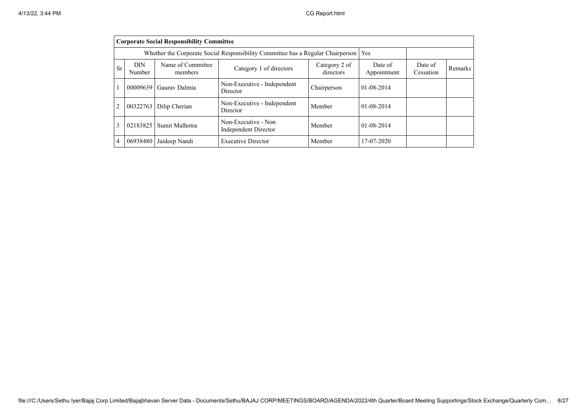|                | <b>Corporate Social Responsibility Committee</b>                                |                              |                                                    |                            |                        |                      |         |  |  |  |
|----------------|---------------------------------------------------------------------------------|------------------------------|----------------------------------------------------|----------------------------|------------------------|----------------------|---------|--|--|--|
|                | Whether the Corporate Social Responsibility Committee has a Regular Chairperson |                              |                                                    |                            |                        |                      |         |  |  |  |
| <b>Sr</b>      | <b>DIN</b><br>Number                                                            | Name of Committee<br>members | Category 1 of directors                            | Category 2 of<br>directors | Date of<br>Appointment | Date of<br>Cessation | Remarks |  |  |  |
|                | 00009639                                                                        | Gauray Dalmia                | Non-Executive - Independent<br>Director            | Chairperson                | $01 - 08 - 2014$       |                      |         |  |  |  |
| $\overline{2}$ | 00322763                                                                        | Dilip Cherian                | Non-Executive - Independent<br>Director            | Member                     | $01 - 08 - 2014$       |                      |         |  |  |  |
| 3              | 02183825                                                                        | Sumit Malhotra               | Non-Executive - Non<br><b>Independent Director</b> | Member                     | $01 - 08 - 2014$       |                      |         |  |  |  |
| $\overline{4}$ | 06938480                                                                        | Jaideep Nandi                | <b>Executive Director</b>                          | Member                     | 17-07-2020             |                      |         |  |  |  |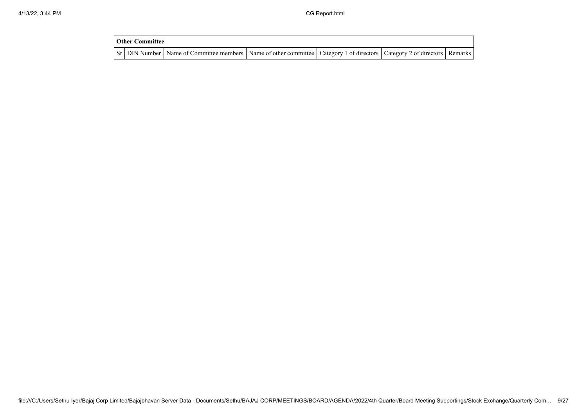| <b>Other Committee</b> |                                                                                                                                     |  |  |
|------------------------|-------------------------------------------------------------------------------------------------------------------------------------|--|--|
|                        | Sr   DIN Number   Name of Committee members   Name of other committee   Category 1 of directors   Category 2 of directors   Remarks |  |  |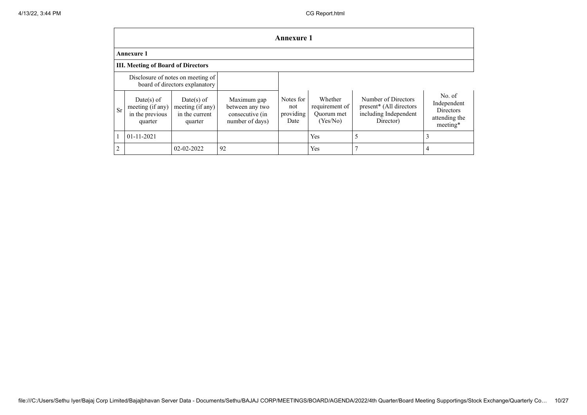|                | Annexure 1                                                          |                                                               |                                                                      |                                       |                                                     |                                                                                      |                                                                        |  |
|----------------|---------------------------------------------------------------------|---------------------------------------------------------------|----------------------------------------------------------------------|---------------------------------------|-----------------------------------------------------|--------------------------------------------------------------------------------------|------------------------------------------------------------------------|--|
|                | <b>Annexure 1</b>                                                   |                                                               |                                                                      |                                       |                                                     |                                                                                      |                                                                        |  |
|                | <b>III. Meeting of Board of Directors</b>                           |                                                               |                                                                      |                                       |                                                     |                                                                                      |                                                                        |  |
|                | Disclosure of notes on meeting of<br>board of directors explanatory |                                                               |                                                                      |                                       |                                                     |                                                                                      |                                                                        |  |
| <b>Sr</b>      | $Date(s)$ of<br>meeting (if any)<br>in the previous<br>quarter      | $Date(s)$ of<br>meeting (if any)<br>in the current<br>quarter | Maximum gap<br>between any two<br>consecutive (in<br>number of days) | Notes for<br>not<br>providing<br>Date | Whether<br>requirement of<br>Quorum met<br>(Yes/No) | Number of Directors<br>present* (All directors<br>including Independent<br>Director) | No. of<br>Independent<br><b>Directors</b><br>attending the<br>meeting* |  |
|                | $01 - 11 - 2021$                                                    |                                                               |                                                                      |                                       | Yes                                                 | 5                                                                                    |                                                                        |  |
| $\overline{2}$ |                                                                     | 02-02-2022                                                    | 92                                                                   |                                       | Yes                                                 |                                                                                      |                                                                        |  |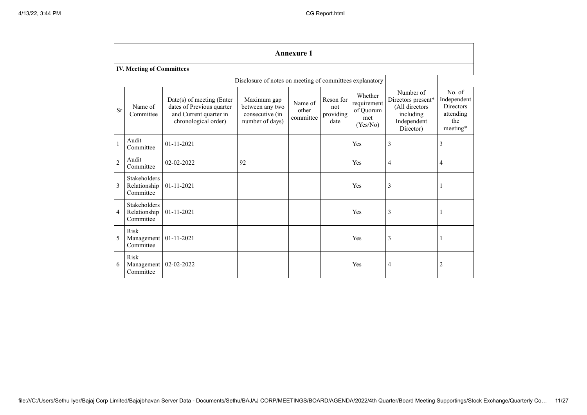|                | <b>Annexure 1</b>                                |                                                                                                            |                                                                      |                               |                                       |                                                        |                                                                                            |                                                                           |
|----------------|--------------------------------------------------|------------------------------------------------------------------------------------------------------------|----------------------------------------------------------------------|-------------------------------|---------------------------------------|--------------------------------------------------------|--------------------------------------------------------------------------------------------|---------------------------------------------------------------------------|
|                | <b>IV. Meeting of Committees</b>                 |                                                                                                            |                                                                      |                               |                                       |                                                        |                                                                                            |                                                                           |
|                |                                                  |                                                                                                            | Disclosure of notes on meeting of committees explanatory             |                               |                                       |                                                        |                                                                                            |                                                                           |
| <b>Sr</b>      | Name of<br>Committee                             | $Date(s)$ of meeting (Enter<br>dates of Previous quarter<br>and Current quarter in<br>chronological order) | Maximum gap<br>between any two<br>consecutive (in<br>number of days) | Name of<br>other<br>committee | Reson for<br>not<br>providing<br>date | Whether<br>requirement<br>of Quorum<br>met<br>(Yes/No) | Number of<br>Directors present*<br>(All directors<br>including<br>Independent<br>Director) | No. of<br>Independent<br><b>Directors</b><br>attending<br>the<br>meeting* |
| $\mathbf{1}$   | Audit<br>Committee                               | 01-11-2021                                                                                                 |                                                                      |                               |                                       | Yes                                                    | 3                                                                                          | 3                                                                         |
| $\overline{2}$ | Audit<br>Committee                               | 02-02-2022                                                                                                 | 92                                                                   |                               |                                       | Yes                                                    | 4                                                                                          | 4                                                                         |
| 3              | Stakeholders<br>Relationship<br>Committee        | 01-11-2021                                                                                                 |                                                                      |                               |                                       | Yes                                                    | 3                                                                                          | 1                                                                         |
| $\overline{4}$ | <b>Stakeholders</b><br>Relationship<br>Committee | 01-11-2021                                                                                                 |                                                                      |                               |                                       | Yes                                                    | 3                                                                                          |                                                                           |
| 5              | Risk<br>Management<br>Committee                  | 01-11-2021                                                                                                 |                                                                      |                               |                                       | Yes                                                    | 3                                                                                          |                                                                           |
| 6              | Risk<br>Management<br>Committee                  | 02-02-2022                                                                                                 |                                                                      |                               |                                       | Yes                                                    | 4                                                                                          | 2                                                                         |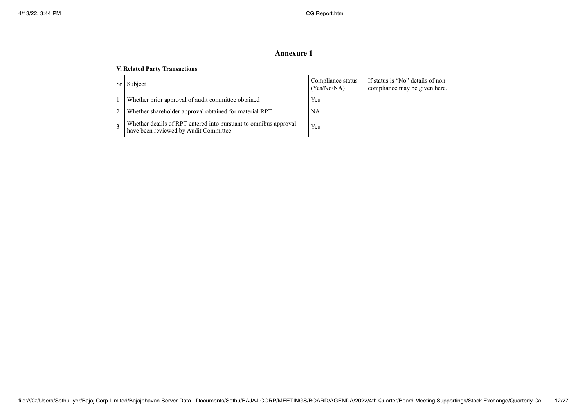|                                                                                                                                | Annexure 1                                                                                                |     |  |  |  |  |  |  |
|--------------------------------------------------------------------------------------------------------------------------------|-----------------------------------------------------------------------------------------------------------|-----|--|--|--|--|--|--|
|                                                                                                                                | V. Related Party Transactions                                                                             |     |  |  |  |  |  |  |
| If status is "No" details of non-<br>Compliance status<br>Subject<br><b>Sr</b><br>(Yes/No/NA)<br>compliance may be given here. |                                                                                                           |     |  |  |  |  |  |  |
|                                                                                                                                | Whether prior approval of audit committee obtained                                                        | Yes |  |  |  |  |  |  |
| $\overline{2}$                                                                                                                 | Whether shareholder approval obtained for material RPT                                                    | NA  |  |  |  |  |  |  |
| 3                                                                                                                              | Whether details of RPT entered into pursuant to omnibus approval<br>have been reviewed by Audit Committee | Yes |  |  |  |  |  |  |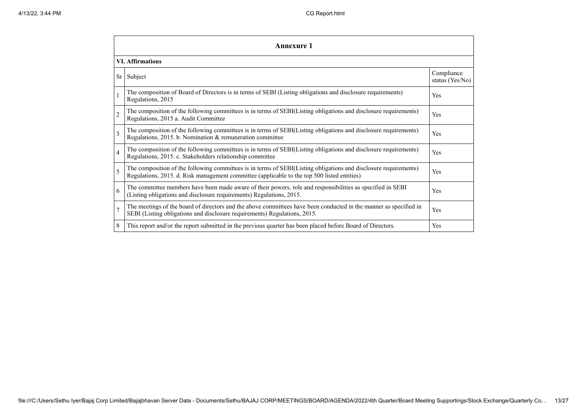|                | <b>Annexure 1</b>                                                                                                                                                                                               |                               |  |  |
|----------------|-----------------------------------------------------------------------------------------------------------------------------------------------------------------------------------------------------------------|-------------------------------|--|--|
|                | <b>VI.</b> Affirmations                                                                                                                                                                                         |                               |  |  |
|                | $Sr$ Subject                                                                                                                                                                                                    | Compliance<br>status (Yes/No) |  |  |
|                | The composition of Board of Directors is in terms of SEBI (Listing obligations and disclosure requirements)<br>Regulations, 2015                                                                                | Yes                           |  |  |
| $\overline{c}$ | The composition of the following committees is in terms of SEBI(Listing obligations and disclosure requirements)<br>Regulations, 2015 a. Audit Committee                                                        | Yes                           |  |  |
| $\overline{3}$ | The composition of the following committees is in terms of SEBI(Listing obligations and disclosure requirements)<br>Regulations, 2015. b. Nomination & remuneration committee                                   | Yes                           |  |  |
| $\overline{4}$ | The composition of the following committees is in terms of SEBI(Listing obligations and disclosure requirements)<br>Regulations, 2015. c. Stakeholders relationship committee                                   | Yes                           |  |  |
| 5              | The composition of the following committees is in terms of SEBI(Listing obligations and disclosure requirements)<br>Regulations, 2015. d. Risk management committee (applicable to the top 500 listed entities) | Yes                           |  |  |
| 6              | The committee members have been made aware of their powers, role and responsibilities as specified in SEBI<br>(Listing obligations and disclosure requirements) Regulations, 2015.                              | Yes                           |  |  |
| $\overline{7}$ | The meetings of the board of directors and the above committees have been conducted in the manner as specified in<br>SEBI (Listing obligations and disclosure requirements) Regulations, 2015.                  | Yes                           |  |  |
| 8              | This report and/or the report submitted in the previous quarter has been placed before Board of Directors.                                                                                                      | Yes                           |  |  |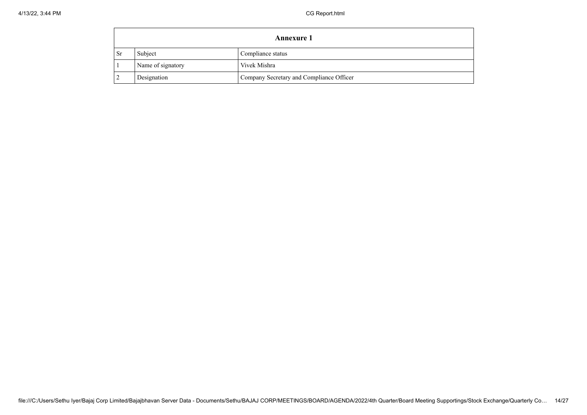|                                   | Annexure 1                                              |  |  |  |  |
|-----------------------------------|---------------------------------------------------------|--|--|--|--|
| Sr                                | Subject<br>Compliance status                            |  |  |  |  |
| Name of signatory<br>Vivek Mishra |                                                         |  |  |  |  |
|                                   | Company Secretary and Compliance Officer<br>Designation |  |  |  |  |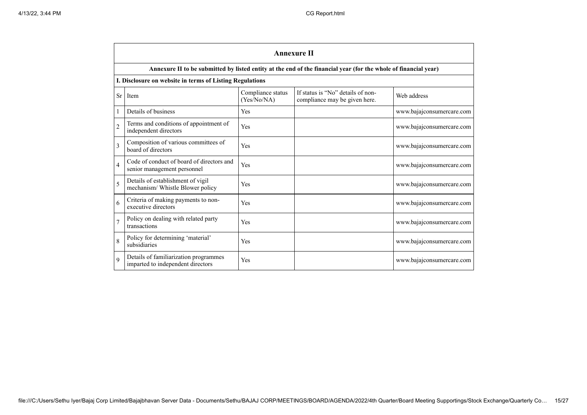|                | <b>Annexure II</b>                                                         |                                  |                                                                                                                 |                           |  |  |
|----------------|----------------------------------------------------------------------------|----------------------------------|-----------------------------------------------------------------------------------------------------------------|---------------------------|--|--|
|                |                                                                            |                                  | Annexure II to be submitted by listed entity at the end of the financial year (for the whole of financial year) |                           |  |  |
|                | I. Disclosure on website in terms of Listing Regulations                   |                                  |                                                                                                                 |                           |  |  |
| Sr             | Item                                                                       | Compliance status<br>(Yes/No/NA) | If status is "No" details of non-<br>compliance may be given here.                                              | Web address               |  |  |
| $\mathbf{1}$   | Details of business                                                        | Yes                              |                                                                                                                 | www.bajajconsumercare.com |  |  |
| $\overline{2}$ | Terms and conditions of appointment of<br>independent directors            | Yes                              |                                                                                                                 | www.bajajconsumercare.com |  |  |
| $\overline{3}$ | Composition of various committees of<br>board of directors                 | Yes                              |                                                                                                                 | www.bajajconsumercare.com |  |  |
| $\overline{4}$ | Code of conduct of board of directors and<br>senior management personnel   | Yes                              |                                                                                                                 | www.bajajconsumercare.com |  |  |
| $\overline{5}$ | Details of establishment of vigil<br>mechanism/ Whistle Blower policy      | Yes                              |                                                                                                                 | www.bajajconsumercare.com |  |  |
| 6              | Criteria of making payments to non-<br>executive directors                 | <b>Yes</b>                       |                                                                                                                 | www.bajajconsumercare.com |  |  |
| $\overline{7}$ | Policy on dealing with related party<br>transactions                       | Yes                              |                                                                                                                 | www.bajajconsumercare.com |  |  |
| 8              | Policy for determining 'material'<br>subsidiaries                          | Yes                              |                                                                                                                 | www.bajajconsumercare.com |  |  |
| 9              | Details of familiarization programmes<br>imparted to independent directors | Yes                              |                                                                                                                 | www.bajajconsumercare.com |  |  |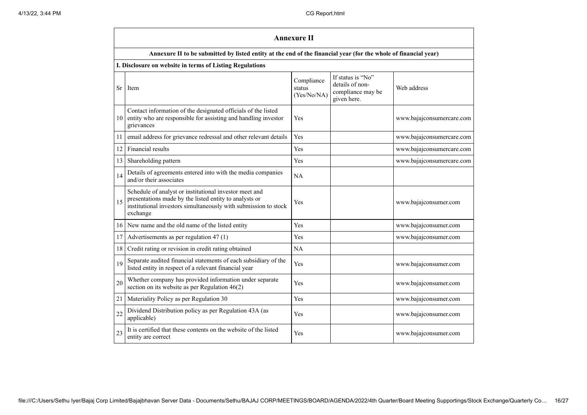|    | <b>Annexure II</b>                                                                                                                                                                              |                                     |                                                                          |                           |  |
|----|-------------------------------------------------------------------------------------------------------------------------------------------------------------------------------------------------|-------------------------------------|--------------------------------------------------------------------------|---------------------------|--|
|    | Annexure II to be submitted by listed entity at the end of the financial year (for the whole of financial year)                                                                                 |                                     |                                                                          |                           |  |
|    | I. Disclosure on website in terms of Listing Regulations                                                                                                                                        |                                     |                                                                          |                           |  |
| Sr | Item                                                                                                                                                                                            | Compliance<br>status<br>(Yes/No/NA) | If status is "No"<br>details of non-<br>compliance may be<br>given here. | Web address               |  |
| 10 | Contact information of the designated officials of the listed<br>entity who are responsible for assisting and handling investor<br>grievances                                                   | Yes                                 |                                                                          | www.bajajconsumercare.com |  |
| 11 | email address for grievance redressal and other relevant details                                                                                                                                | Yes                                 |                                                                          | www.bajajconsumercare.com |  |
| 12 | Financial results                                                                                                                                                                               | Yes                                 |                                                                          | www.bajajconsumercare.com |  |
| 13 | Shareholding pattern                                                                                                                                                                            | Yes                                 |                                                                          | www.bajajconsumercare.com |  |
| 14 | Details of agreements entered into with the media companies<br>and/or their associates                                                                                                          | NA                                  |                                                                          |                           |  |
| 15 | Schedule of analyst or institutional investor meet and<br>presentations made by the listed entity to analysts or<br>institutional investors simultaneously with submission to stock<br>exchange | Yes                                 |                                                                          | www.bajajconsumer.com     |  |
| 16 | New name and the old name of the listed entity                                                                                                                                                  | Yes                                 |                                                                          | www.bajajconsumer.com     |  |
| 17 | Advertisements as per regulation 47 (1)                                                                                                                                                         | Yes                                 |                                                                          | www.bajajconsumer.com     |  |
| 18 | Credit rating or revision in credit rating obtained                                                                                                                                             | NA                                  |                                                                          |                           |  |
| 19 | Separate audited financial statements of each subsidiary of the<br>listed entity in respect of a relevant financial year                                                                        | Yes                                 |                                                                          | www.bajajconsumer.com     |  |
| 20 | Whether company has provided information under separate<br>section on its website as per Regulation $46(2)$                                                                                     | Yes                                 |                                                                          | www.bajajconsumer.com     |  |
| 21 | Materiality Policy as per Regulation 30                                                                                                                                                         | Yes                                 |                                                                          | www.bajajconsumer.com     |  |
| 22 | Dividend Distribution policy as per Regulation 43A (as<br>applicable)                                                                                                                           | Yes                                 |                                                                          | www.bajajconsumer.com     |  |
| 23 | It is certified that these contents on the website of the listed<br>entity are correct                                                                                                          | Yes                                 |                                                                          | www.bajajconsumer.com     |  |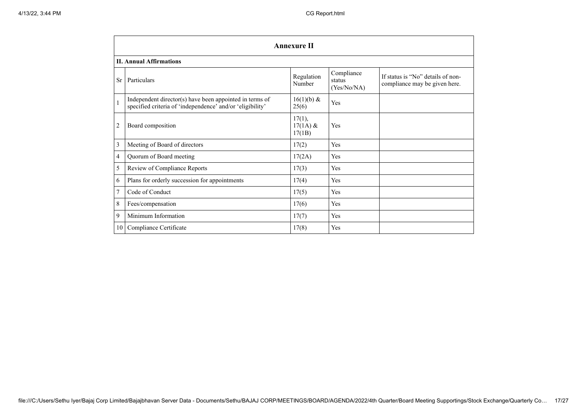|              | <b>Annexure II</b>                                                                                                   |                                |                                     |                                                                    |  |  |
|--------------|----------------------------------------------------------------------------------------------------------------------|--------------------------------|-------------------------------------|--------------------------------------------------------------------|--|--|
|              | <b>II. Annual Affirmations</b>                                                                                       |                                |                                     |                                                                    |  |  |
| Sr           | Particulars                                                                                                          | Regulation<br>Number           | Compliance<br>status<br>(Yes/No/NA) | If status is "No" details of non-<br>compliance may be given here. |  |  |
| $\mathbf{1}$ | Independent director(s) have been appointed in terms of<br>specified criteria of 'independence' and/or 'eligibility' | $16(1)(b) \&$<br>25(6)         | Yes                                 |                                                                    |  |  |
| 2            | Board composition                                                                                                    | 17(1),<br>$17(1A)$ &<br>17(1B) | Yes                                 |                                                                    |  |  |
| 3            | Meeting of Board of directors                                                                                        | 17(2)                          | Yes                                 |                                                                    |  |  |
| 4            | Quorum of Board meeting                                                                                              | 17(2A)                         | Yes                                 |                                                                    |  |  |
| 5            | Review of Compliance Reports                                                                                         | 17(3)                          | Yes                                 |                                                                    |  |  |
| 6            | Plans for orderly succession for appointments                                                                        | 17(4)                          | Yes                                 |                                                                    |  |  |
| 7            | Code of Conduct                                                                                                      | 17(5)                          | Yes                                 |                                                                    |  |  |
| 8            | Fees/compensation                                                                                                    | 17(6)                          | Yes                                 |                                                                    |  |  |
| 9            | Minimum Information                                                                                                  | 17(7)                          | Yes                                 |                                                                    |  |  |
| 10           | Compliance Certificate                                                                                               | 17(8)                          | Yes                                 |                                                                    |  |  |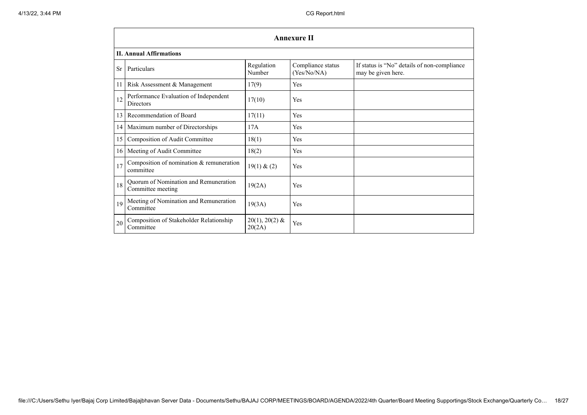|    | <b>Annexure II</b>                                         |                            |                                  |                                                                   |  |
|----|------------------------------------------------------------|----------------------------|----------------------------------|-------------------------------------------------------------------|--|
|    | <b>II. Annual Affirmations</b>                             |                            |                                  |                                                                   |  |
| Sr | Particulars                                                | Regulation<br>Number       | Compliance status<br>(Yes/No/NA) | If status is "No" details of non-compliance<br>may be given here. |  |
| 11 | Risk Assessment & Management                               | 17(9)                      | Yes                              |                                                                   |  |
| 12 | Performance Evaluation of Independent<br><b>Directors</b>  | 17(10)                     | Yes                              |                                                                   |  |
| 13 | Recommendation of Board                                    | 17(11)                     | Yes                              |                                                                   |  |
| 14 | Maximum number of Directorships                            | 17A                        | Yes                              |                                                                   |  |
| 15 | Composition of Audit Committee                             | 18(1)                      | Yes                              |                                                                   |  |
| 16 | Meeting of Audit Committee                                 | 18(2)                      | Yes                              |                                                                   |  |
| 17 | Composition of nomination & remuneration<br>committee      | 19(1) & (2)                | Yes                              |                                                                   |  |
| 18 | Quorum of Nomination and Remuneration<br>Committee meeting | 19(2A)                     | Yes                              |                                                                   |  |
| 19 | Meeting of Nomination and Remuneration<br>Committee        | 19(3A)                     | Yes                              |                                                                   |  |
| 20 | Composition of Stakeholder Relationship<br>Committee       | $20(1), 20(2)$ &<br>20(2A) | Yes                              |                                                                   |  |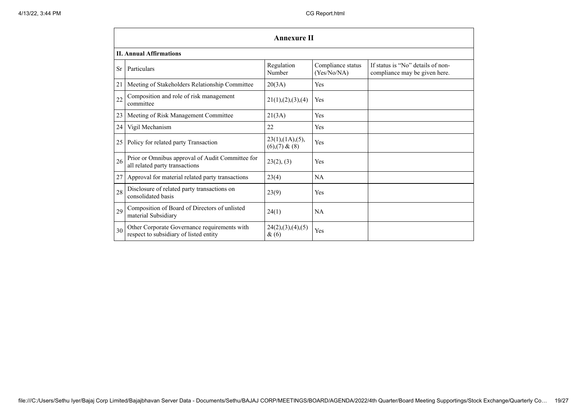|    | <b>Annexure II</b>                                                                     |                                     |                                  |                                                                    |  |  |
|----|----------------------------------------------------------------------------------------|-------------------------------------|----------------------------------|--------------------------------------------------------------------|--|--|
|    | <b>II. Annual Affirmations</b>                                                         |                                     |                                  |                                                                    |  |  |
| Sr | Particulars                                                                            | Regulation<br>Number                | Compliance status<br>(Yes/No/NA) | If status is "No" details of non-<br>compliance may be given here. |  |  |
| 21 | Meeting of Stakeholders Relationship Committee                                         | 20(3A)                              | Yes                              |                                                                    |  |  |
| 22 | Composition and role of risk management<br>committee                                   | 21(1), (2), (3), (4)                | Yes                              |                                                                    |  |  |
| 23 | Meeting of Risk Management Committee                                                   | 21(3A)                              | Yes                              |                                                                    |  |  |
| 24 | Vigil Mechanism                                                                        | 22                                  | Yes                              |                                                                    |  |  |
| 25 | Policy for related party Transaction                                                   | 23(1),(1A),(5),<br>$(6)(7)$ & $(8)$ | Yes                              |                                                                    |  |  |
| 26 | Prior or Omnibus approval of Audit Committee for<br>all related party transactions     | 23(2), (3)                          | Yes                              |                                                                    |  |  |
| 27 | Approval for material related party transactions                                       | 23(4)                               | <b>NA</b>                        |                                                                    |  |  |
| 28 | Disclosure of related party transactions on<br>consolidated basis                      | 23(9)                               | Yes                              |                                                                    |  |  |
| 29 | Composition of Board of Directors of unlisted<br>material Subsidiary                   | 24(1)                               | NA                               |                                                                    |  |  |
| 30 | Other Corporate Governance requirements with<br>respect to subsidiary of listed entity | 24(2),(3),(4),(5)<br>&(6)           | Yes                              |                                                                    |  |  |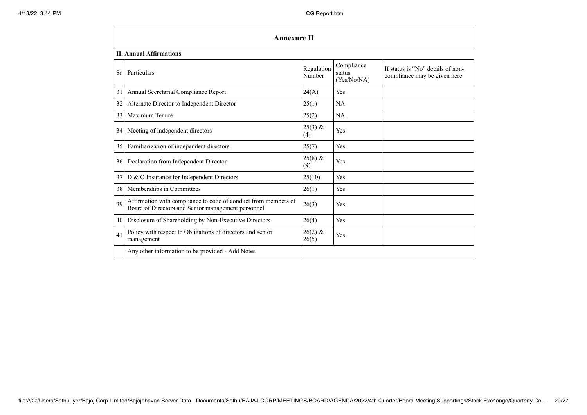|    | <b>Annexure II</b>                                                                                                   |                      |                                     |                                                                    |  |
|----|----------------------------------------------------------------------------------------------------------------------|----------------------|-------------------------------------|--------------------------------------------------------------------|--|
|    | <b>II. Annual Affirmations</b>                                                                                       |                      |                                     |                                                                    |  |
| Sr | Particulars                                                                                                          | Regulation<br>Number | Compliance<br>status<br>(Yes/No/NA) | If status is "No" details of non-<br>compliance may be given here. |  |
| 31 | Annual Secretarial Compliance Report                                                                                 | 24(A)                | Yes                                 |                                                                    |  |
| 32 | Alternate Director to Independent Director                                                                           | 25(1)                | NA                                  |                                                                    |  |
| 33 | Maximum Tenure                                                                                                       | 25(2)                | NA                                  |                                                                    |  |
| 34 | Meeting of independent directors                                                                                     | $25(3)$ &<br>(4)     | Yes                                 |                                                                    |  |
| 35 | Familiarization of independent directors                                                                             | 25(7)                | Yes                                 |                                                                    |  |
| 36 | Declaration from Independent Director                                                                                | $25(8)$ &<br>(9)     | Yes                                 |                                                                    |  |
| 37 | D & O Insurance for Independent Directors                                                                            | 25(10)               | Yes                                 |                                                                    |  |
| 38 | Memberships in Committees                                                                                            | 26(1)                | Yes                                 |                                                                    |  |
| 39 | Affirmation with compliance to code of conduct from members of<br>Board of Directors and Senior management personnel | 26(3)                | Yes                                 |                                                                    |  |
| 40 | Disclosure of Shareholding by Non-Executive Directors                                                                | 26(4)                | Yes                                 |                                                                    |  |
| 41 | Policy with respect to Obligations of directors and senior<br>management                                             | $26(2)$ &<br>26(5)   | Yes                                 |                                                                    |  |
|    | Any other information to be provided - Add Notes                                                                     |                      |                                     |                                                                    |  |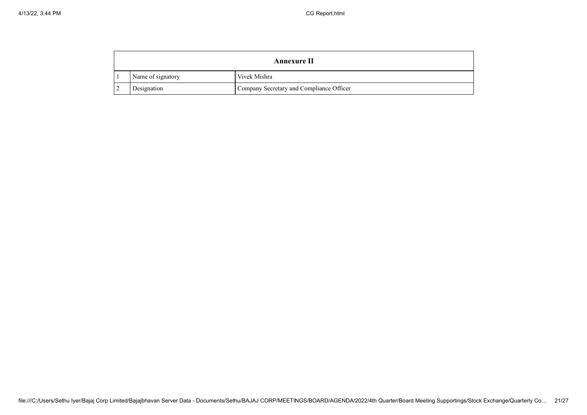|  |                   | <b>Annexure II</b>                       |
|--|-------------------|------------------------------------------|
|  | Name of signatory | Vivek Mishra                             |
|  | Designation       | Company Secretary and Compliance Officer |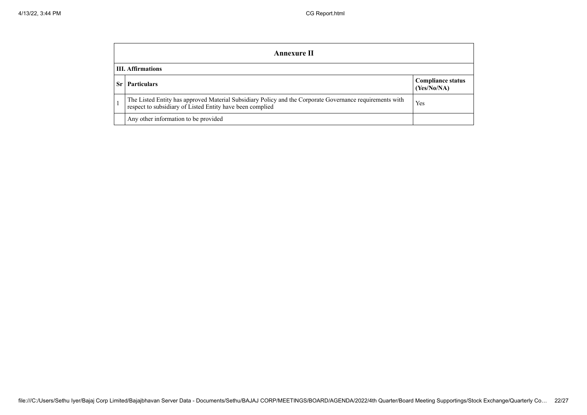|    | Annexure II                                                                                                                                                           |                                         |  |  |  |
|----|-----------------------------------------------------------------------------------------------------------------------------------------------------------------------|-----------------------------------------|--|--|--|
|    | <b>III.</b> Affirmations                                                                                                                                              |                                         |  |  |  |
| Sr | <b>Particulars</b>                                                                                                                                                    | <b>Compliance status</b><br>(Yes/No/NA) |  |  |  |
|    | The Listed Entity has approved Material Subsidiary Policy and the Corporate Governance requirements with<br>respect to subsidiary of Listed Entity have been complied | Yes                                     |  |  |  |
|    | Any other information to be provided                                                                                                                                  |                                         |  |  |  |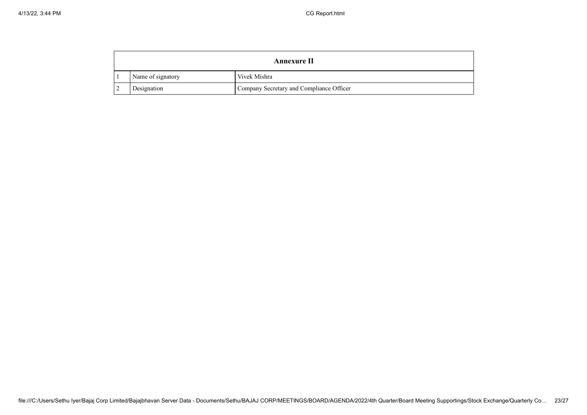|  |                   | <b>Annexure II</b>                       |
|--|-------------------|------------------------------------------|
|  | Name of signatory | Vivek Mishra                             |
|  | Designation       | Company Secretary and Compliance Officer |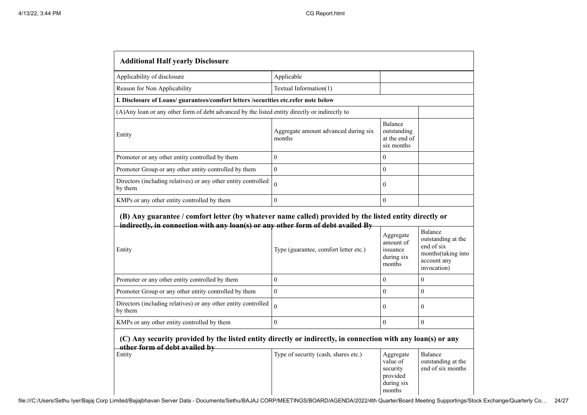| <b>Additional Half yearly Disclosure</b>                                                                                                                                                  |                                                |                                                                       |                                                                                                 |  |  |
|-------------------------------------------------------------------------------------------------------------------------------------------------------------------------------------------|------------------------------------------------|-----------------------------------------------------------------------|-------------------------------------------------------------------------------------------------|--|--|
| Applicability of disclosure                                                                                                                                                               | Applicable                                     |                                                                       |                                                                                                 |  |  |
| Reason for Non Applicability                                                                                                                                                              | Textual Information(1)                         |                                                                       |                                                                                                 |  |  |
| I. Disclosure of Loans/ guarantees/comfort letters /securities etc.refer note below                                                                                                       |                                                |                                                                       |                                                                                                 |  |  |
| (A) Any loan or any other form of debt advanced by the listed entity directly or indirectly to                                                                                            |                                                |                                                                       |                                                                                                 |  |  |
| Entity                                                                                                                                                                                    | Aggregate amount advanced during six<br>months | Balance<br>outstanding<br>at the end of<br>six months                 |                                                                                                 |  |  |
| Promoter or any other entity controlled by them                                                                                                                                           | $\overline{0}$                                 | $\overline{0}$                                                        |                                                                                                 |  |  |
| Promoter Group or any other entity controlled by them                                                                                                                                     | $\overline{0}$                                 | $\overline{0}$                                                        |                                                                                                 |  |  |
| Directors (including relatives) or any other entity controlled<br>by them                                                                                                                 | $\theta$                                       | $\overline{0}$                                                        |                                                                                                 |  |  |
| KMPs or any other entity controlled by them                                                                                                                                               | $\mathbf{0}$                                   | $\boldsymbol{0}$                                                      |                                                                                                 |  |  |
| (B) Any guarantee / comfort letter (by whatever name called) provided by the listed entity directly or<br>indirectly, in connection with any loan(s) or any other form of debt availed By |                                                |                                                                       |                                                                                                 |  |  |
| Entity                                                                                                                                                                                    | Type (guarantee, comfort letter etc.)          | Aggregate<br>amount of<br>issuance<br>during six<br>months            | Balance<br>outstanding at the<br>end of six<br>months(taking into<br>account any<br>invocation) |  |  |
| Promoter or any other entity controlled by them                                                                                                                                           | $\boldsymbol{0}$                               | $\Omega$                                                              | $\overline{0}$                                                                                  |  |  |
| Promoter Group or any other entity controlled by them                                                                                                                                     | $\Omega$                                       | $\boldsymbol{0}$                                                      | $\boldsymbol{0}$                                                                                |  |  |
| Directors (including relatives) or any other entity controlled<br>by them                                                                                                                 | $\theta$                                       | $\overline{0}$                                                        | $\boldsymbol{0}$                                                                                |  |  |
| KMPs or any other entity controlled by them                                                                                                                                               | $\mathbf{0}$                                   | $\overline{0}$                                                        | $\boldsymbol{0}$                                                                                |  |  |
| (C) Any security provided by the listed entity directly or indirectly, in connection with any loan(s) or any                                                                              |                                                |                                                                       |                                                                                                 |  |  |
| other form of debt availed by<br>Entity                                                                                                                                                   | Type of security (cash, shares etc.)           | Aggregate<br>value of<br>security<br>provided<br>during six<br>months | Balance<br>outstanding at the<br>end of six months                                              |  |  |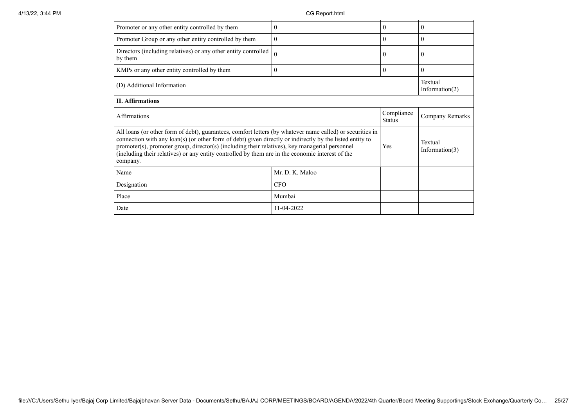| Promoter or any other entity controlled by them                                                                                                                                                                                                                                                                                                                                                                                         | 0               | $\theta$                    | $\theta$                     |
|-----------------------------------------------------------------------------------------------------------------------------------------------------------------------------------------------------------------------------------------------------------------------------------------------------------------------------------------------------------------------------------------------------------------------------------------|-----------------|-----------------------------|------------------------------|
| Promoter Group or any other entity controlled by them                                                                                                                                                                                                                                                                                                                                                                                   | $\mathbf{0}$    | $\theta$                    | $\theta$                     |
| Directors (including relatives) or any other entity controlled<br>by them                                                                                                                                                                                                                                                                                                                                                               | 0               | $\theta$                    | 0                            |
| KMPs or any other entity controlled by them                                                                                                                                                                                                                                                                                                                                                                                             | $\mathbf{0}$    | $\theta$                    | $\overline{0}$               |
| (D) Additional Information                                                                                                                                                                                                                                                                                                                                                                                                              |                 |                             | Textual<br>Information $(2)$ |
| <b>II.</b> Affirmations                                                                                                                                                                                                                                                                                                                                                                                                                 |                 |                             |                              |
| Affirmations                                                                                                                                                                                                                                                                                                                                                                                                                            |                 | Compliance<br><b>Status</b> | Company Remarks              |
| All loans (or other form of debt), guarantees, comfort letters (by whatever name called) or securities in<br>connection with any loan(s) (or other form of debt) given directly or indirectly by the listed entity to<br>promoter(s), promoter group, director(s) (including their relatives), key managerial personnel<br>(including their relatives) or any entity controlled by them are in the economic interest of the<br>company. |                 |                             |                              |
|                                                                                                                                                                                                                                                                                                                                                                                                                                         |                 | Yes                         | Textual<br>Information $(3)$ |
| Name                                                                                                                                                                                                                                                                                                                                                                                                                                    | Mr. D. K. Maloo |                             |                              |
| Designation                                                                                                                                                                                                                                                                                                                                                                                                                             | <b>CFO</b>      |                             |                              |
| Place                                                                                                                                                                                                                                                                                                                                                                                                                                   | Mumbai          |                             |                              |